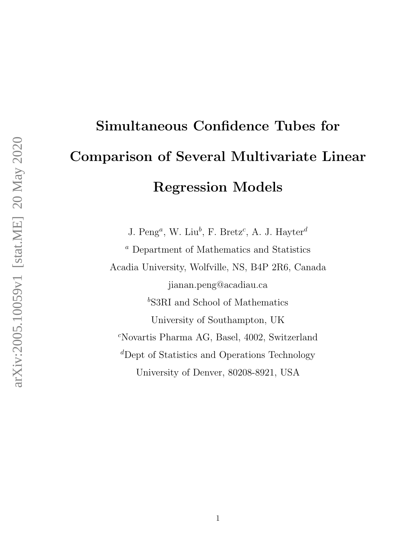# Simultaneous Confidence Tubes for Comparison of Several Multivariate Linear Regression Models

J.  $\text{Peng}^a$ , W. Liu<sup>b</sup>, F. Bretz<sup>c</sup>, A. J. Hayter<sup>d</sup> <sup>a</sup> Department of Mathematics and Statistics Acadia University, Wolfville, NS, B4P 2R6, Canada jianan.peng@acadiau.ca <sup>b</sup>S3RI and School of Mathematics University of Southampton, UK <sup>c</sup>Novartis Pharma AG, Basel, 4002, Switzerland <sup>d</sup>Dept of Statistics and Operations Technology University of Denver, 80208-8921, USA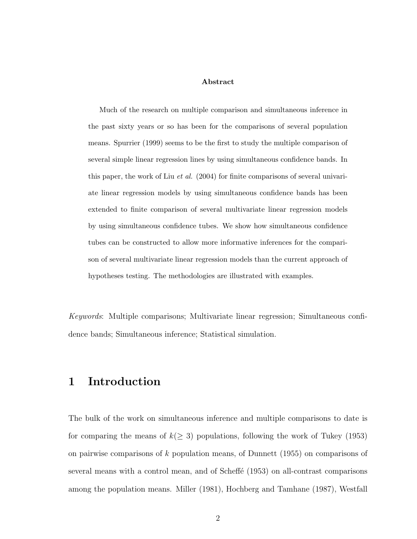#### Abstract

Much of the research on multiple comparison and simultaneous inference in the past sixty years or so has been for the comparisons of several population means. Spurrier (1999) seems to be the first to study the multiple comparison of several simple linear regression lines by using simultaneous confidence bands. In this paper, the work of Liu *et al.* (2004) for finite comparisons of several univariate linear regression models by using simultaneous confidence bands has been extended to finite comparison of several multivariate linear regression models by using simultaneous confidence tubes. We show how simultaneous confidence tubes can be constructed to allow more informative inferences for the comparison of several multivariate linear regression models than the current approach of hypotheses testing. The methodologies are illustrated with examples.

Keywords: Multiple comparisons; Multivariate linear regression; Simultaneous confidence bands; Simultaneous inference; Statistical simulation.

#### 1 Introduction

The bulk of the work on simultaneous inference and multiple comparisons to date is for comparing the means of  $k(\geq 3)$  populations, following the work of Tukey (1953) on pairwise comparisons of k population means, of Dunnett (1955) on comparisons of several means with a control mean, and of Scheffe (1953) on all-contrast comparisons among the population means. Miller (1981), Hochberg and Tamhane (1987), Westfall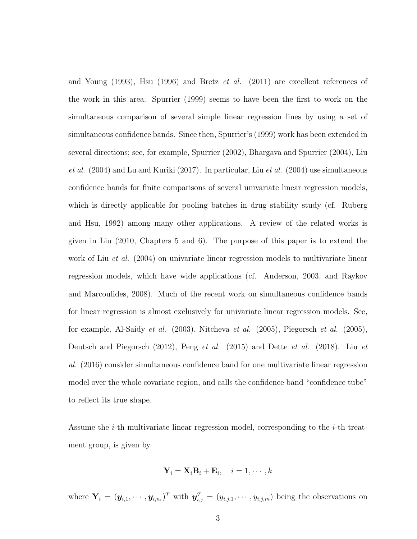and Young  $(1993)$ , Hsu  $(1996)$  and Bretz *et al.*  $(2011)$  are excellent references of the work in this area. Spurrier (1999) seems to have been the first to work on the simultaneous comparison of several simple linear regression lines by using a set of simultaneous confidence bands. Since then, Spurrier's (1999) work has been extended in several directions; see, for example, Spurrier (2002), Bhargava and Spurrier (2004), Liu et al. (2004) and Lu and Kuriki (2017). In particular, Liu et al. (2004) use simultaneous confidence bands for finite comparisons of several univariate linear regression models, which is directly applicable for pooling batches in drug stability study (cf. Ruberg and Hsu, 1992) among many other applications. A review of the related works is given in Liu (2010, Chapters 5 and 6). The purpose of this paper is to extend the work of Liu *et al.* (2004) on univariate linear regression models to multivariate linear regression models, which have wide applications (cf. Anderson, 2003, and Raykov and Marcoulides, 2008). Much of the recent work on simultaneous confidence bands for linear regression is almost exclusively for univariate linear regression models. See, for example, Al-Saidy et al. (2003), Nitcheva et al. (2005), Piegorsch et al. (2005), Deutsch and Piegorsch (2012), Peng et al. (2015) and Dette et al. (2018). Liu et al. (2016) consider simultaneous confidence band for one multivariate linear regression model over the whole covariate region, and calls the confidence band "confidence tube" to reflect its true shape.

Assume the *i*-th multivariate linear regression model, corresponding to the *i*-th treatment group, is given by

$$
\mathbf{Y}_i = \mathbf{X}_i \mathbf{B}_i + \mathbf{E}_i, \quad i = 1, \cdots, k
$$

where  $\mathbf{Y}_i = (\mathbf{y}_{i,1}, \cdots, \mathbf{y}_{i,n_i})^T$  with  $\mathbf{y}_{i,j}^T = (y_{i,j,1}, \cdots, y_{i,j,m})$  being the observations on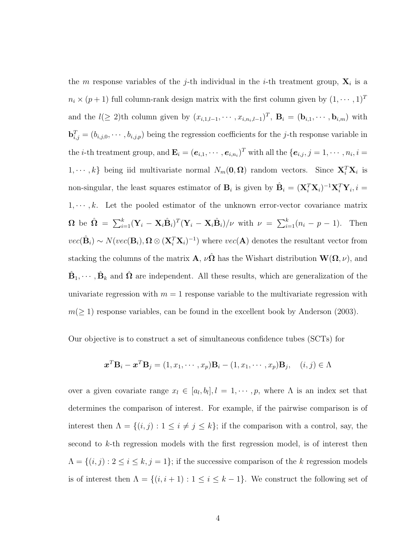the m response variables of the j-th individual in the *i*-th treatment group,  $\mathbf{X}_i$  is a  $n_i \times (p+1)$  full column-rank design matrix with the first column given by  $(1,\cdots,1)^T$ and the  $l(\geq 2)$ th column given by  $(x_{i,1,l-1},\cdots,x_{i,n_i,l-1})^T$ ,  $\mathbf{B}_i = (\mathbf{b}_{i,1},\cdots,\mathbf{b}_{i,m})$  with  $\mathbf{b}_{i,j}^T = (b_{i,j,0}, \cdots, b_{i,j,p})$  being the regression coefficients for the *j*-th response variable in the *i*-th treatment group, and  $\mathbf{E}_i = (\boldsymbol{e}_{i,1}, \cdots, \boldsymbol{e}_{i,n_i})^T$  with all the  $\{\boldsymbol{e}_{i,j}, j = 1, \cdots, n_i, i = 1, \cdots, n_i\}$ 1,  $\dots, k$  being iid multivariate normal  $N_m(\mathbf{0}, \mathbf{\Omega})$  random vectors. Since  $\mathbf{X}_i^T \mathbf{X}_i$  is non-singular, the least squares estimator of  $\mathbf{B}_i$  is given by  $\hat{\mathbf{B}}_i = (\mathbf{X}_i^T \mathbf{X}_i)^{-1} \mathbf{X}_i^T \mathbf{Y}_i, i =$  $1, \dots, k$ . Let the pooled estimator of the unknown error-vector covariance matrix  $\Omega$  be  $\hat{\Omega} = \sum_{i=1}^{k} (\mathbf{Y}_i - \mathbf{X}_i \hat{\mathbf{B}}_i)^T (\mathbf{Y}_i - \mathbf{X}_i \hat{\mathbf{B}}_i) / \nu$  with  $\nu = \sum_{i=1}^{k} (n_i - p - 1)$ . Then  $vec(\hat{\mathbf{B}}_i) \sim N(vec(\mathbf{B}_i), \mathbf{\Omega} \otimes (\mathbf{X}_i^T \mathbf{X}_i)^{-1})$  where  $vec(\mathbf{A})$  denotes the resultant vector from stacking the columns of the matrix  $\mathbf{A}, \nu \hat{\Omega}$  has the Wishart distribution  $\mathbf{W}(\Omega, \nu)$ , and  $\hat{\mathbf{B}}_1, \cdots, \hat{\mathbf{B}}_k$  and  $\hat{\boldsymbol{\Omega}}$  are independent. All these results, which are generalization of the univariate regression with  $m = 1$  response variable to the multivariate regression with  $m(\geq 1)$  response variables, can be found in the excellent book by Anderson (2003).

Our objective is to construct a set of simultaneous confidence tubes (SCTs) for

$$
\boldsymbol{x}^T \mathbf{B}_i - \boldsymbol{x}^T \mathbf{B}_j = (1, x_1, \cdots, x_p) \mathbf{B}_i - (1, x_1, \cdots, x_p) \mathbf{B}_j, \quad (i, j) \in \Lambda
$$

over a given covariate range  $x_l \in [a_l, b_l], l = 1, \dots, p$ , where  $\Lambda$  is an index set that determines the comparison of interest. For example, if the pairwise comparison is of interest then  $\Lambda = \{(i, j) : 1 \le i \ne j \le k\}$ ; if the comparison with a control, say, the second to  $k$ -th regression models with the first regression model, is of interest then  $\Lambda = \{(i,j): 2 \leq i \leq k, j = 1\}$ ; if the successive comparison of the k regression models is of interest then  $\Lambda = \{(i, i + 1) : 1 \le i \le k - 1\}$ . We construct the following set of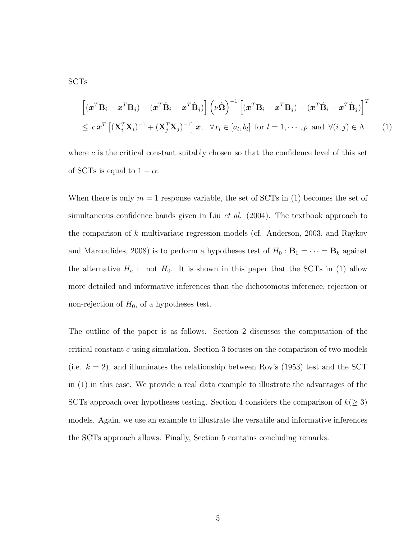SCTs

$$
\begin{aligned}\n\left[ (\mathbf{x}^T \mathbf{B}_i - \mathbf{x}^T \mathbf{B}_j) - (\mathbf{x}^T \hat{\mathbf{B}}_i - \mathbf{x}^T \hat{\mathbf{B}}_j) \right] \left( \nu \hat{\mathbf{\Omega}} \right)^{-1} \left[ (\mathbf{x}^T \mathbf{B}_i - \mathbf{x}^T \mathbf{B}_j) - (\mathbf{x}^T \hat{\mathbf{B}}_i - \mathbf{x}^T \hat{\mathbf{B}}_j) \right]^T \\
&\leq c \, \mathbf{x}^T \left[ (\mathbf{X}_i^T \mathbf{X}_i)^{-1} + (\mathbf{X}_j^T \mathbf{X}_j)^{-1} \right] \mathbf{x}, \quad \forall x_l \in [a_l, b_l] \text{ for } l = 1, \cdots, p \text{ and } \forall (i, j) \in \Lambda\n\end{aligned} \tag{1}
$$

where  $c$  is the critical constant suitably chosen so that the confidence level of this set of SCTs is equal to  $1 - \alpha$ .

When there is only  $m = 1$  response variable, the set of SCTs in (1) becomes the set of simultaneous confidence bands given in Liu *et al.* (2004). The textbook approach to the comparison of k multivariate regression models (cf. Anderson, 2003, and Raykov and Marcoulides, 2008) is to perform a hypotheses test of  $H_0: \mathbf{B}_1 = \cdots = \mathbf{B}_k$  against the alternative  $H_a$ : not  $H_0$ . It is shown in this paper that the SCTs in (1) allow more detailed and informative inferences than the dichotomous inference, rejection or non-rejection of  $H_0$ , of a hypotheses test.

The outline of the paper is as follows. Section 2 discusses the computation of the critical constant c using simulation. Section 3 focuses on the comparison of two models (i.e.  $k = 2$ ), and illuminates the relationship between Roy's (1953) test and the SCT in (1) in this case. We provide a real data example to illustrate the advantages of the SCTs approach over hypotheses testing. Section 4 considers the comparison of  $k(\geq 3)$ models. Again, we use an example to illustrate the versatile and informative inferences the SCTs approach allows. Finally, Section 5 contains concluding remarks.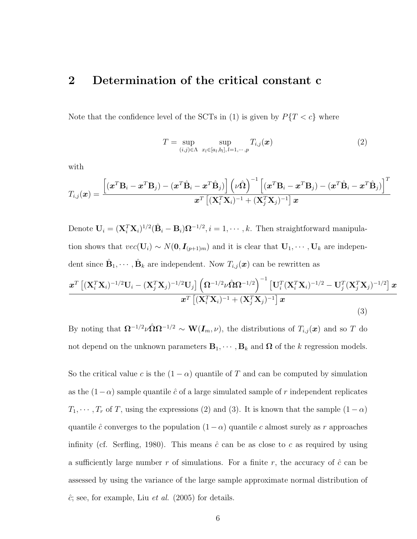#### 2 Determination of the critical constant c

Note that the confidence level of the SCTs in (1) is given by  $P\{T < c\}$  where

$$
T = \sup_{(i,j)\in\Lambda} \sup_{x_l\in[a_l,b_l],l=1,\cdots,p} T_{i,j}(\boldsymbol{x})
$$
\n(2)

(3)

with

$$
T_{i,j}(\boldsymbol{x})=\frac{\left[(\boldsymbol{x}^T\mathbf{B}_i-\boldsymbol{x}^T\mathbf{B}_j)-(\boldsymbol{x}^T\hat{\mathbf{B}}_i-\boldsymbol{x}^T\hat{\mathbf{B}}_j)\right]\left(\nu\hat{\boldsymbol{\Omega}}\right)^{-1}\left[(\boldsymbol{x}^T\mathbf{B}_i-\boldsymbol{x}^T\mathbf{B}_j)-(\boldsymbol{x}^T\hat{\mathbf{B}}_i-\boldsymbol{x}^T\hat{\mathbf{B}}_j)\right]^T}{\boldsymbol{x}^T\left[(\mathbf{X}_i^T\mathbf{X}_i)^{-1}+(\mathbf{X}_j^T\mathbf{X}_j)^{-1}\right]\boldsymbol{x}}
$$

Denote  $\mathbf{U}_i = (\mathbf{X}_i^T \mathbf{X}_i)^{1/2} (\hat{\mathbf{B}}_i - \mathbf{B}_i) \mathbf{\Omega}^{-1/2}, i = 1, \cdots, k$ . Then straightforward manipulation shows that  $vec(\mathbf{U}_i) \sim N(\mathbf{0}, \mathbf{I}_{(p+1)m})$  and it is clear that  $\mathbf{U}_1, \cdots, \mathbf{U}_k$  are independent since  $\hat{\mathbf{B}}_1, \cdots, \hat{\mathbf{B}}_k$  are independent. Now  $T_{i,j}(\boldsymbol{x})$  can be rewritten as  $\boldsymbol{x}^T\left[(\mathbf{X}_i^T\mathbf{X}_i)^{-1/2}\mathbf{U}_i-(\mathbf{X}_j^T\mathbf{X}_j)^{-1/2}\mathbf{U}_j\right]\left(\boldsymbol{\Omega}^{-1/2}\nu\hat{\boldsymbol{\Omega}}\boldsymbol{\Omega}^{-1/2}\right)^{-1}\left[\mathbf{U}_i^T(\mathbf{X}_i^T\mathbf{X}_i)^{-1/2}-\mathbf{U}_j^T(\mathbf{X}_j^T\mathbf{X}_j)^{-1/2}\right]\boldsymbol{x}$  $\boldsymbol{x}^T\left[(\mathbf{X}_i^T\mathbf{X}_i)^{-1}+(\mathbf{X}_j^T\mathbf{X}_j)^{-1}\right]\boldsymbol{x}$ 

By noting that  $\Omega^{-1/2} \nu \hat{\Omega} \Omega^{-1/2} \sim \mathbf{W}(\mathbf{I}_m, \nu)$ , the distributions of  $T_{i,j}(\boldsymbol{x})$  and so T do not depend on the unknown parameters  $\mathbf{B}_1, \cdots, \mathbf{B}_k$  and  $\Omega$  of the k regression models.

So the critical value c is the  $(1 - \alpha)$  quantile of T and can be computed by simulation as the  $(1-\alpha)$  sample quantile  $\hat{c}$  of a large simulated sample of r independent replicates  $T_1, \dots, T_r$  of T, using the expressions (2) and (3). It is known that the sample  $(1 - \alpha)$ quantile  $\hat{c}$  converges to the population  $(1 - \alpha)$  quantile c almost surely as r approaches infinity (cf. Serfling, 1980). This means  $\hat{c}$  can be as close to c as required by using a sufficiently large number r of simulations. For a finite r, the accuracy of  $\hat{c}$  can be assessed by using the variance of the large sample approximate normal distribution of  $\hat{c}$ ; see, for example, Liu *et al.* (2005) for details.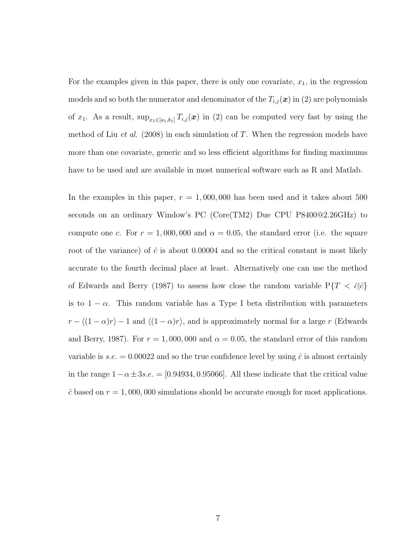For the examples given in this paper, there is only one covariate,  $x_1$ , in the regression models and so both the numerator and denominator of the  $T_{i,j}(\boldsymbol{x})$  in (2) are polynomials of  $x_1$ . As a result,  $\sup_{x_1 \in [a_1,b_1]} T_{i,j}(x)$  in (2) can be computed very fast by using the method of Liu *et al.* (2008) in each simulation of T. When the regression models have more than one covariate, generic and so less efficient algorithms for finding maximums have to be used and are available in most numerical software such as R and Matlab.

In the examples in this paper,  $r = 1,000,000$  has been used and it takes about 500 seconds on an ordinary Window's PC (Core(TM2) Due CPU P8400@2.26GHz) to compute one c. For  $r = 1,000,000$  and  $\alpha = 0.05$ , the standard error (i.e. the square root of the variance) of  $\hat{c}$  is about 0.00004 and so the critical constant is most likely accurate to the fourth decimal place at least. Alternatively one can use the method of Edwards and Berry (1987) to assess how close the random variable  $P\{T \langle \hat{c} \rangle\}$ is to  $1 - \alpha$ . This random variable has a Type I beta distribution with parameters  $r - \langle (1 - \alpha)r \rangle - 1$  and  $\langle (1 - \alpha)r \rangle$ , and is approximately normal for a large r (Edwards and Berry, 1987). For  $r = 1,000,000$  and  $\alpha = 0.05$ , the standard error of this random variable is  $s.e. = 0.00022$  and so the true confidence level by using  $\hat{c}$  is almost certainly in the range  $1-\alpha \pm 3s.e. = [0.94934, 0.95066]$ . All these indicate that the critical value  $\hat{c}$  based on  $r = 1,000,000$  simulations should be accurate enough for most applications.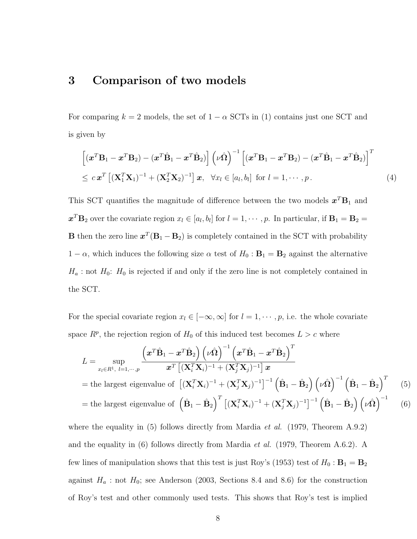## 3 Comparison of two models

For comparing  $k = 2$  models, the set of  $1 - \alpha$  SCTs in (1) contains just one SCT and is given by

$$
\begin{aligned}\n\left[ (\boldsymbol{x}^T \mathbf{B}_1 - \boldsymbol{x}^T \mathbf{B}_2) - (\boldsymbol{x}^T \hat{\mathbf{B}}_1 - \boldsymbol{x}^T \hat{\mathbf{B}}_2) \right] \left( \nu \hat{\boldsymbol{\Omega}} \right)^{-1} \left[ (\boldsymbol{x}^T \mathbf{B}_1 - \boldsymbol{x}^T \mathbf{B}_2) - (\boldsymbol{x}^T \hat{\mathbf{B}}_1 - \boldsymbol{x}^T \hat{\mathbf{B}}_2) \right]^T \\
&\leq c \, \boldsymbol{x}^T \left[ (\mathbf{X}_1^T \mathbf{X}_1)^{-1} + (\mathbf{X}_2^T \mathbf{X}_2)^{-1} \right] \boldsymbol{x}, \quad \forall x_l \in [a_l, b_l] \text{ for } l = 1, \cdots, p \,.\n\end{aligned} \tag{4}
$$

This SCT quantifies the magnitude of difference between the two models  $\mathbf{x}^T \mathbf{B}_1$  and  $\boldsymbol{x}^T \mathbf{B}_2$  over the covariate region  $x_l \in [a_l, b_l]$  for  $l = 1, \cdots, p$ . In particular, if  $\mathbf{B}_1 = \mathbf{B}_2 =$ **B** then the zero line  $x^T(B_1 - B_2)$  is completely contained in the SCT with probability  $1 - \alpha$ , which induces the following size  $\alpha$  test of  $H_0 : \mathbf{B}_1 = \mathbf{B}_2$  against the alternative  $H_a$ : not  $H_0$ :  $H_0$  is rejected if and only if the zero line is not completely contained in the SCT.

For the special covariate region  $x_l \in [-\infty, \infty]$  for  $l = 1, \dots, p$ , i.e. the whole covariate space  $R^p$ , the rejection region of  $H_0$  of this induced test becomes  $L > c$  where

$$
L = \sup_{x_l \in R^1, l=1,\dots,p} \frac{\left(\mathbf{x}^T \hat{\mathbf{B}}_1 - \mathbf{x}^T \hat{\mathbf{B}}_2\right) \left(\nu \hat{\mathbf{\Omega}}\right)^{-1} \left(\mathbf{x}^T \hat{\mathbf{B}}_1 - \mathbf{x}^T \hat{\mathbf{B}}_2\right)^T}{\mathbf{x}^T \left[\left(\mathbf{X}_i^T \mathbf{X}_i\right)^{-1} + \left(\mathbf{X}_j^T \mathbf{X}_j\right)^{-1}\right] \mathbf{x}}
$$
  
= the largest eigenvalue of  $\left[\left(\mathbf{X}_i^T \mathbf{X}_i\right)^{-1} + \left(\mathbf{X}_j^T \mathbf{X}_j\right)^{-1}\right]^{-1} \left(\hat{\mathbf{B}}_1 - \hat{\mathbf{B}}_2\right) \left(\nu \hat{\mathbf{\Omega}}\right)^{-1} \left(\hat{\mathbf{B}}_1 - \hat{\mathbf{B}}_2\right)^T$  (5)  
= the largest eigenvalue of  $\left(\hat{\mathbf{B}}_1 - \hat{\mathbf{B}}_2\right)^T \left[\left(\mathbf{X}_i^T \mathbf{X}_i\right)^{-1} + \left(\mathbf{X}_j^T \mathbf{X}_j\right)^{-1}\right]^{-1} \left(\hat{\mathbf{B}}_1 - \hat{\mathbf{B}}_2\right) \left(\nu \hat{\mathbf{\Omega}}\right)^{-1}$  (6)

where the equality in (5) follows directly from Mardia *et al.* (1979, Theorem  $A.9.2$ ) and the equality in (6) follows directly from Mardia et al. (1979, Theorem A.6.2). A few lines of manipulation shows that this test is just Roy's (1953) test of  $H_0$ :  $\mathbf{B}_1 = \mathbf{B}_2$ against  $H_a$ : not  $H_0$ ; see Anderson (2003, Sections 8.4 and 8.6) for the construction of Roy's test and other commonly used tests. This shows that Roy's test is implied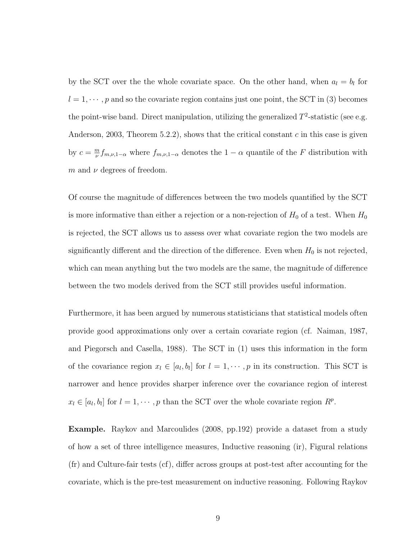by the SCT over the the whole covariate space. On the other hand, when  $a_l = b_l$  for  $l = 1, \dots, p$  and so the covariate region contains just one point, the SCT in (3) becomes the point-wise band. Direct manipulation, utilizing the generalized  $T^2$ -statistic (see e.g. Anderson, 2003, Theorem 5.2.2), shows that the critical constant c in this case is given by  $c = \frac{m}{u}$  $\frac{m}{\nu} f_{m,\nu,1-\alpha}$  where  $f_{m,\nu,1-\alpha}$  denotes the  $1-\alpha$  quantile of the F distribution with m and  $\nu$  degrees of freedom.

Of course the magnitude of differences between the two models quantified by the SCT is more informative than either a rejection or a non-rejection of  $H_0$  of a test. When  $H_0$ is rejected, the SCT allows us to assess over what covariate region the two models are significantly different and the direction of the difference. Even when  $H_0$  is not rejected, which can mean anything but the two models are the same, the magnitude of difference between the two models derived from the SCT still provides useful information.

Furthermore, it has been argued by numerous statisticians that statistical models often provide good approximations only over a certain covariate region (cf. Naiman, 1987, and Piegorsch and Casella, 1988). The SCT in (1) uses this information in the form of the covariance region  $x_l \in [a_l, b_l]$  for  $l = 1, \dots, p$  in its construction. This SCT is narrower and hence provides sharper inference over the covariance region of interest  $x_l \in [a_l, b_l]$  for  $l = 1, \dots, p$  than the SCT over the whole covariate region  $R^p$ .

Example. Raykov and Marcoulides (2008, pp.192) provide a dataset from a study of how a set of three intelligence measures, Inductive reasoning (ir), Figural relations (fr) and Culture-fair tests (cf), differ across groups at post-test after accounting for the covariate, which is the pre-test measurement on inductive reasoning. Following Raykov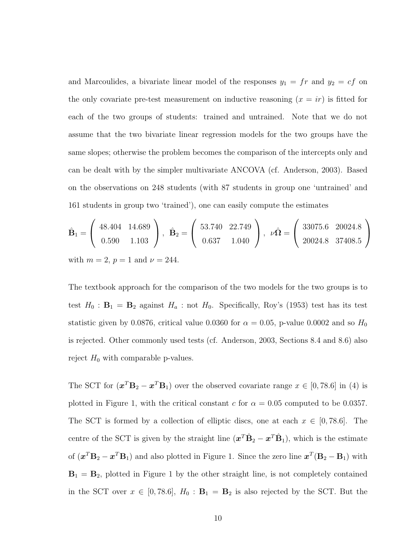and Marcoulides, a bivariate linear model of the responses  $y_1 = fr$  and  $y_2 = cf$  on the only covariate pre-test measurement on inductive reasoning  $(x = ir)$  is fitted for each of the two groups of students: trained and untrained. Note that we do not assume that the two bivariate linear regression models for the two groups have the same slopes; otherwise the problem becomes the comparison of the intercepts only and can be dealt with by the simpler multivariate ANCOVA (cf. Anderson, 2003). Based on the observations on 248 students (with 87 students in group one 'untrained' and 161 students in group two 'trained'), one can easily compute the estimates

$$
\hat{\mathbf{B}}_1 = \left(\begin{array}{cc} 48.404 & 14.689 \\ 0.590 & 1.103 \end{array}\right), \ \hat{\mathbf{B}}_2 = \left(\begin{array}{cc} 53.740 & 22.749 \\ 0.637 & 1.040 \end{array}\right), \ \nu \hat{\Omega} = \left(\begin{array}{cc} 33075.6 & 20024.8 \\ 20024.8 & 37408.5 \end{array}\right)
$$

with  $m = 2$ ,  $p = 1$  and  $\nu = 244$ .

The textbook approach for the comparison of the two models for the two groups is to test  $H_0$ :  $\mathbf{B}_1 = \mathbf{B}_2$  against  $H_a$ : not  $H_0$ . Specifically, Roy's (1953) test has its test statistic given by 0.0876, critical value 0.0360 for  $\alpha = 0.05$ , p-value 0.0002 and so  $H_0$ is rejected. Other commonly used tests (cf. Anderson, 2003, Sections 8.4 and 8.6) also reject  $H_0$  with comparable p-values.

The SCT for  $(\mathbf{x}^T \mathbf{B}_2 - \mathbf{x}^T \mathbf{B}_1)$  over the observed covariate range  $x \in [0, 78.6]$  in (4) is plotted in Figure 1, with the critical constant c for  $\alpha = 0.05$  computed to be 0.0357. The SCT is formed by a collection of elliptic discs, one at each  $x \in [0, 78.6]$ . The centre of the SCT is given by the straight line  $(\mathbf{z}^T \hat{\mathbf{B}}_2 - \mathbf{z}^T \hat{\mathbf{B}}_1)$ , which is the estimate of  $(\mathbf{z}^T \mathbf{B}_2 - \mathbf{z}^T \mathbf{B}_1)$  and also plotted in Figure 1. Since the zero line  $\mathbf{z}^T (\mathbf{B}_2 - \mathbf{B}_1)$  with  $B_1 = B_2$ , plotted in Figure 1 by the other straight line, is not completely contained in the SCT over  $x \in [0, 78.6]$ ,  $H_0 : \mathbf{B}_1 = \mathbf{B}_2$  is also rejected by the SCT. But the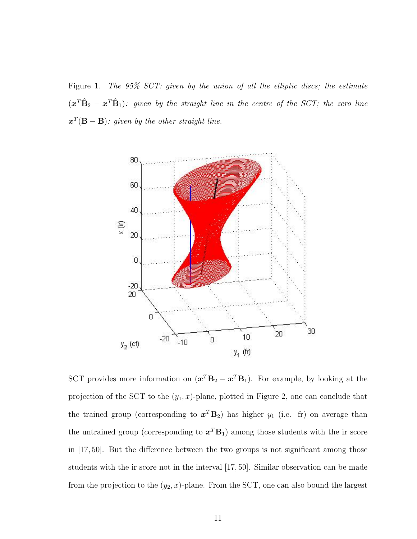Figure 1. The 95% SCT: given by the union of all the elliptic discs; the estimate  $(\boldsymbol{x}^T \hat{\mathbf{B}}_2 - \boldsymbol{x}^T \hat{\mathbf{B}}_1)$ : given by the straight line in the centre of the SCT; the zero line  $\boldsymbol{x}^T(\mathbf{B}-\mathbf{B})$ : given by the other straight line.



SCT provides more information on  $(\mathbf{z}^T \mathbf{B}_2 - \mathbf{z}^T \mathbf{B}_1)$ . For example, by looking at the projection of the SCT to the  $(y_1, x)$ -plane, plotted in Figure 2, one can conclude that the trained group (corresponding to  $\mathbf{x}^T \mathbf{B}_2$ ) has higher  $y_1$  (i.e. fr) on average than the untrained group (corresponding to  $\mathbf{x}^T \mathbf{B}_1$ ) among those students with the ir score in [17, 50]. But the difference between the two groups is not significant among those students with the ir score not in the interval [17, 50]. Similar observation can be made from the projection to the  $(y_2, x)$ -plane. From the SCT, one can also bound the largest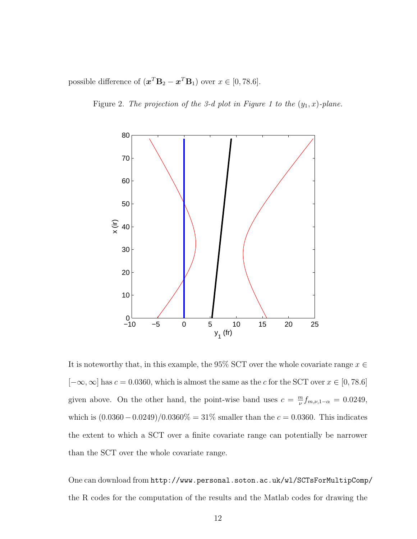possible difference of  $(\mathbf{x}^T \mathbf{B}_2 - \mathbf{x}^T \mathbf{B}_1)$  over  $x \in [0, 78.6]$ .

Figure 2. The projection of the 3-d plot in Figure 1 to the  $(y_1, x)$ -plane.



It is noteworthy that, in this example, the 95% SCT over the whole covariate range  $x \in$  $[-\infty, \infty]$  has  $c = 0.0360$ , which is almost the same as the c for the SCT over  $x \in [0, 78.6]$ given above. On the other hand, the point-wise band uses  $c = \frac{m}{\nu}$  $\frac{m}{\nu} f_{m,\nu,1-\alpha} = 0.0249,$ which is  $(0.0360 - 0.0249)/0.0360\% = 31\%$  smaller than the  $c = 0.0360$ . This indicates the extent to which a SCT over a finite covariate range can potentially be narrower than the SCT over the whole covariate range.

One can download from http://www.personal.soton.ac.uk/wl/SCTsForMultipComp/ the R codes for the computation of the results and the Matlab codes for drawing the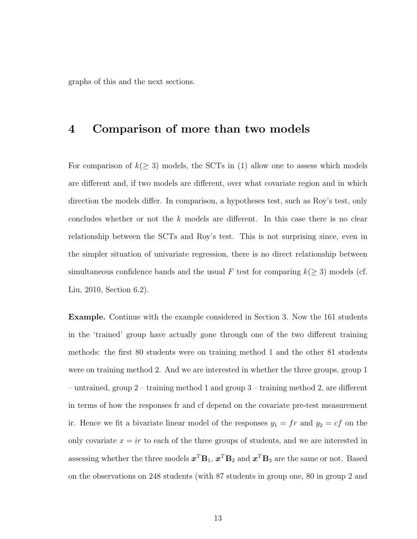graphs of this and the next sections.

#### 4 Comparison of more than two models

For comparison of  $k(\geq 3)$  models, the SCTs in (1) allow one to assess which models are different and, if two models are different, over what covariate region and in which direction the models differ. In comparison, a hypotheses test, such as Roy's test, only concludes whether or not the k models are different. In this case there is no clear relationship between the SCTs and Roy's test. This is not surprising since, even in the simpler situation of univariate regression, there is no direct relationship between simultaneous confidence bands and the usual F test for comparing  $k(\geq 3)$  models (cf. Liu, 2010, Section 6.2).

Example. Continue with the example considered in Section 3. Now the 161 students in the 'trained' group have actually gone through one of the two different training methods: the first 80 students were on training method 1 and the other 81 students were on training method 2. And we are interested in whether the three groups, group 1 – untrained, group 2 – training method 1 and group 3 – training method 2, are different in terms of how the responses fr and cf depend on the covariate pre-test measurement ir. Hence we fit a bivariate linear model of the responses  $y_1 = fr$  and  $y_2 = cf$  on the only covariate  $x = ir$  to each of the three groups of students, and we are interested in assessing whether the three models  $\mathbf{z}^T \mathbf{B}_1$ ,  $\mathbf{z}^T \mathbf{B}_2$  and  $\mathbf{z}^T \mathbf{B}_3$  are the same or not. Based on the observations on 248 students (with 87 students in group one, 80 in group 2 and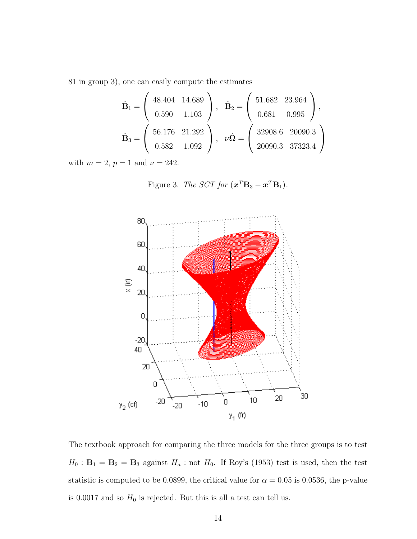81 in group 3), one can easily compute the estimates

$$
\hat{\mathbf{B}}_1 = \begin{pmatrix} 48.404 & 14.689 \\ 0.590 & 1.103 \end{pmatrix}, \quad \hat{\mathbf{B}}_2 = \begin{pmatrix} 51.682 & 23.964 \\ 0.681 & 0.995 \end{pmatrix},
$$

$$
\hat{\mathbf{B}}_3 = \begin{pmatrix} 56.176 & 21.292 \\ 0.582 & 1.092 \end{pmatrix}, \quad \nu \hat{\Omega} = \begin{pmatrix} 32908.6 & 20090.3 \\ 20090.3 & 37323.4 \end{pmatrix}
$$

with  $m = 2$ ,  $p = 1$  and  $\nu = 242$ .

Figure 3. The SCT for 
$$
(\mathbf{x}^T \mathbf{B}_3 - \mathbf{x}^T \mathbf{B}_1)
$$
.



The textbook approach for comparing the three models for the three groups is to test  $H_0$ :  $\mathbf{B}_1 = \mathbf{B}_2 = \mathbf{B}_3$  against  $H_a$ : not  $H_0$ . If Roy's (1953) test is used, then the test statistic is computed to be 0.0899, the critical value for  $\alpha = 0.05$  is 0.0536, the p-value is 0.0017 and so  $H_0$  is rejected. But this is all a test can tell us.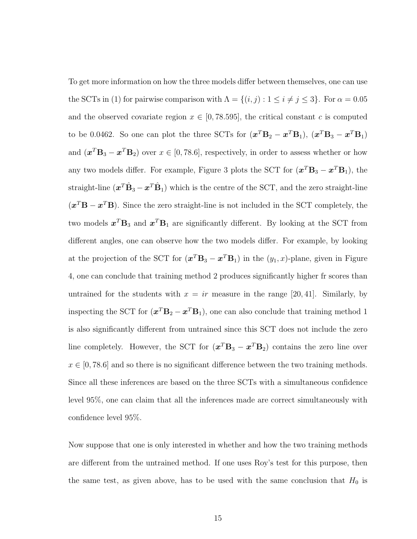To get more information on how the three models differ between themselves, one can use the SCTs in (1) for pairwise comparison with  $\Lambda = \{(i, j) : 1 \le i \ne j \le 3\}$ . For  $\alpha = 0.05$ and the observed covariate region  $x \in [0, 78.595]$ , the critical constant c is computed to be 0.0462. So one can plot the three SCTs for  $(\mathbf{x}^T \mathbf{B}_2 - \mathbf{x}^T \mathbf{B}_1)$ ,  $(\mathbf{x}^T \mathbf{B}_3 - \mathbf{x}^T \mathbf{B}_1)$ and  $(\mathbf{x}^T \mathbf{B}_3 - \mathbf{x}^T \mathbf{B}_2)$  over  $x \in [0, 78.6]$ , respectively, in order to assess whether or how any two models differ. For example, Figure 3 plots the SCT for  $(\mathbf{x}^T \mathbf{B}_3 - \mathbf{x}^T \mathbf{B}_1)$ , the straight-line  $(\bm{x}^T \hat{\mathbf{B}}_3 - \bm{x}^T \hat{\mathbf{B}}_1)$  which is the centre of the SCT, and the zero straight-line  $(x^T B - x^T B)$ . Since the zero straight-line is not included in the SCT completely, the two models  $\mathbf{z}^T \mathbf{B}_3$  and  $\mathbf{z}^T \mathbf{B}_1$  are significantly different. By looking at the SCT from different angles, one can observe how the two models differ. For example, by looking at the projection of the SCT for  $(\mathbf{x}^T \mathbf{B}_3 - \mathbf{x}^T \mathbf{B}_1)$  in the  $(y_1, x)$ -plane, given in Figure 4, one can conclude that training method 2 produces significantly higher fr scores than untrained for the students with  $x = ir$  measure in the range [20, 41]. Similarly, by inspecting the SCT for  $(\mathbf{x}^T \mathbf{B}_2 - \mathbf{x}^T \mathbf{B}_1)$ , one can also conclude that training method 1 is also significantly different from untrained since this SCT does not include the zero line completely. However, the SCT for  $(\mathbf{x}^T \mathbf{B}_3 - \mathbf{x}^T \mathbf{B}_2)$  contains the zero line over  $x \in [0, 78.6]$  and so there is no significant difference between the two training methods. Since all these inferences are based on the three SCTs with a simultaneous confidence level 95%, one can claim that all the inferences made are correct simultaneously with confidence level 95%.

Now suppose that one is only interested in whether and how the two training methods are different from the untrained method. If one uses Roy's test for this purpose, then the same test, as given above, has to be used with the same conclusion that  $H_0$  is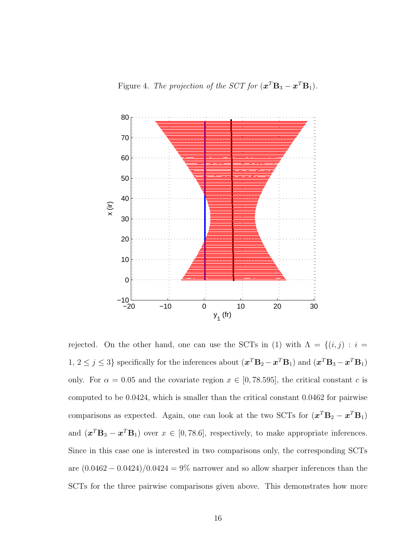Figure 4. The projection of the SCT for  $(\mathbf{x}^T \mathbf{B}_3 - \mathbf{x}^T \mathbf{B}_1)$ .



rejected. On the other hand, one can use the SCTs in (1) with  $\Lambda = \{(i,j) : i =$ 1,  $2 \le j \le 3$ } specifically for the inferences about  $(\mathbf{x}^T \mathbf{B}_2 - \mathbf{x}^T \mathbf{B}_1)$  and  $(\mathbf{x}^T \mathbf{B}_3 - \mathbf{x}^T \mathbf{B}_1)$ only. For  $\alpha = 0.05$  and the covariate region  $x \in [0, 78.595]$ , the critical constant c is computed to be 0.0424, which is smaller than the critical constant 0.0462 for pairwise comparisons as expected. Again, one can look at the two SCTs for  $(\mathbf{x}^T \mathbf{B}_2 - \mathbf{x}^T \mathbf{B}_1)$ and  $(\boldsymbol{x}^T \mathbf{B}_3 - \boldsymbol{x}^T \mathbf{B}_1)$  over  $x \in [0, 78.6]$ , respectively, to make appropriate inferences. Since in this case one is interested in two comparisons only, the corresponding SCTs are  $(0.0462 - 0.0424)/0.0424 = 9%$  narrower and so allow sharper inferences than the SCTs for the three pairwise comparisons given above. This demonstrates how more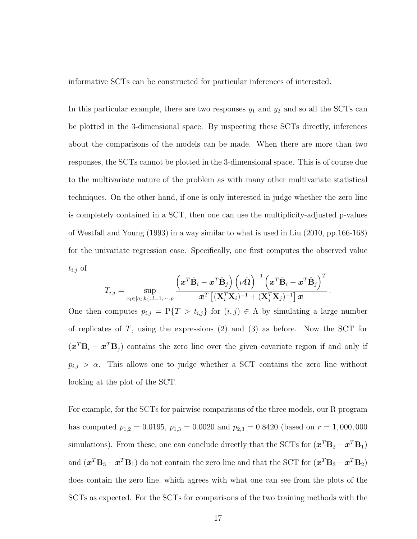informative SCTs can be constructed for particular inferences of interested.

In this particular example, there are two responses  $y_1$  and  $y_2$  and so all the SCTs can be plotted in the 3-dimensional space. By inspecting these SCTs directly, inferences about the comparisons of the models can be made. When there are more than two responses, the SCTs cannot be plotted in the 3-dimensional space. This is of course due to the multivariate nature of the problem as with many other multivariate statistical techniques. On the other hand, if one is only interested in judge whether the zero line is completely contained in a SCT, then one can use the multiplicity-adjusted p-values of Westfall and Young (1993) in a way similar to what is used in Liu (2010, pp.166-168) for the univariate regression case. Specifically, one first computes the observed value  $t_{i,j}$  of

$$
T_{i,j} = \sup_{x_l \in [a_l, b_l], l=1,\cdots,p} \frac{\left(\boldsymbol{x}^T \hat{\mathbf{B}}_i - \boldsymbol{x}^T \hat{\mathbf{B}}_j\right) \left(\nu \hat{\boldsymbol{\Omega}}\right)^{-1} \left(\boldsymbol{x}^T \hat{\mathbf{B}}_i - \boldsymbol{x}^T \hat{\mathbf{B}}_j\right)^T}{\boldsymbol{x}^T \left[(\mathbf{X}_i^T \mathbf{X}_i)^{-1} + (\mathbf{X}_j^T \mathbf{X}_j)^{-1}\right] \boldsymbol{x}}~.
$$

One then computes  $p_{i,j} = P\{T > t_{i,j}\}\text{ for } (i,j) \in \Lambda \text{ by simulating a large number}$ of replicates of  $T$ , using the expressions  $(2)$  and  $(3)$  as before. Now the SCT for  $(x^T B_i - x^T B_j)$  contains the zero line over the given covariate region if and only if  $p_{i,j} > \alpha$ . This allows one to judge whether a SCT contains the zero line without looking at the plot of the SCT.

For example, for the SCTs for pairwise comparisons of the three models, our R program has computed  $p_{1,2} = 0.0195$ ,  $p_{1,3} = 0.0020$  and  $p_{2,3} = 0.8420$  (based on  $r = 1,000,000$ simulations). From these, one can conclude directly that the SCTs for  $(\boldsymbol{x}^T \mathbf{B}_2 - \boldsymbol{x}^T \mathbf{B}_1)$ and  $(\mathbf{x}^T \mathbf{B}_3 - \mathbf{x}^T \mathbf{B}_1)$  do not contain the zero line and that the SCT for  $(\mathbf{x}^T \mathbf{B}_3 - \mathbf{x}^T \mathbf{B}_2)$ does contain the zero line, which agrees with what one can see from the plots of the SCTs as expected. For the SCTs for comparisons of the two training methods with the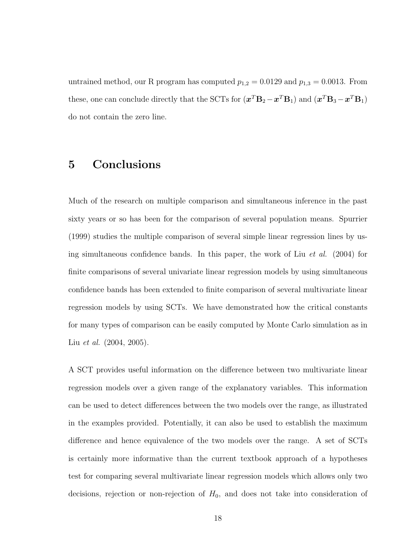untrained method, our R program has computed  $p_{1,2} = 0.0129$  and  $p_{1,3} = 0.0013$ . From these, one can conclude directly that the SCTs for  $(\mathbf{x}^T \mathbf{B}_2 - \mathbf{x}^T \mathbf{B}_1)$  and  $(\mathbf{x}^T \mathbf{B}_3 - \mathbf{x}^T \mathbf{B}_1)$ do not contain the zero line.

## 5 Conclusions

Much of the research on multiple comparison and simultaneous inference in the past sixty years or so has been for the comparison of several population means. Spurrier (1999) studies the multiple comparison of several simple linear regression lines by using simultaneous confidence bands. In this paper, the work of Liu *et al.* (2004) for finite comparisons of several univariate linear regression models by using simultaneous confidence bands has been extended to finite comparison of several multivariate linear regression models by using SCTs. We have demonstrated how the critical constants for many types of comparison can be easily computed by Monte Carlo simulation as in Liu *et al.* (2004, 2005).

A SCT provides useful information on the difference between two multivariate linear regression models over a given range of the explanatory variables. This information can be used to detect differences between the two models over the range, as illustrated in the examples provided. Potentially, it can also be used to establish the maximum difference and hence equivalence of the two models over the range. A set of SCTs is certainly more informative than the current textbook approach of a hypotheses test for comparing several multivariate linear regression models which allows only two decisions, rejection or non-rejection of  $H_0$ , and does not take into consideration of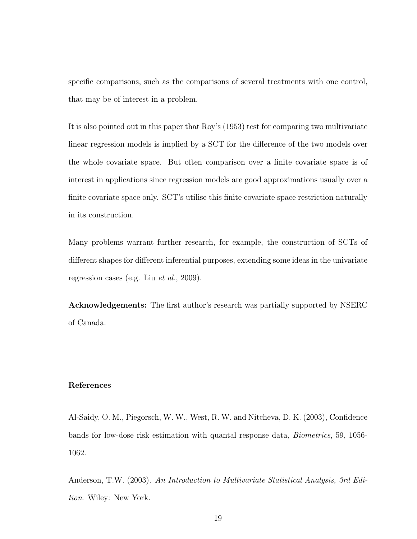specific comparisons, such as the comparisons of several treatments with one control, that may be of interest in a problem.

It is also pointed out in this paper that Roy's (1953) test for comparing two multivariate linear regression models is implied by a SCT for the difference of the two models over the whole covariate space. But often comparison over a finite covariate space is of interest in applications since regression models are good approximations usually over a finite covariate space only. SCT's utilise this finite covariate space restriction naturally in its construction.

Many problems warrant further research, for example, the construction of SCTs of different shapes for different inferential purposes, extending some ideas in the univariate regression cases (e.g. Liu et al., 2009).

Acknowledgements: The first author's research was partially supported by NSERC of Canada.

#### References

Al-Saidy, O. M., Piegorsch, W. W., West, R. W. and Nitcheva, D. K. (2003), Confidence bands for low-dose risk estimation with quantal response data, Biometrics, 59, 1056- 1062.

Anderson, T.W. (2003). An Introduction to Multivariate Statistical Analysis, 3rd Edition. Wiley: New York.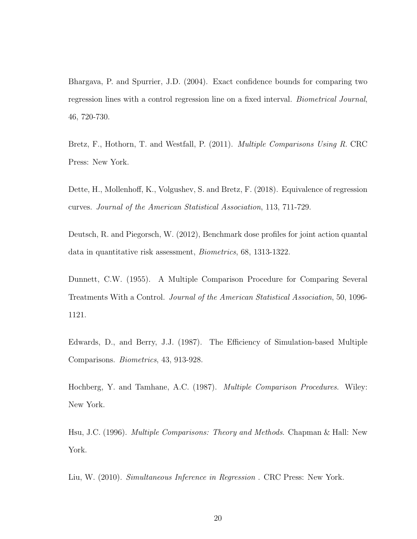Bhargava, P. and Spurrier, J.D. (2004). Exact confidence bounds for comparing two regression lines with a control regression line on a fixed interval. Biometrical Journal, 46, 720-730.

Bretz, F., Hothorn, T. and Westfall, P. (2011). Multiple Comparisons Using R. CRC Press: New York.

Dette, H., Mollenhoff, K., Volgushev, S. and Bretz, F. (2018). Equivalence of regression curves. Journal of the American Statistical Association, 113, 711-729.

Deutsch, R. and Piegorsch, W. (2012), Benchmark dose profiles for joint action quantal data in quantitative risk assessment, Biometrics, 68, 1313-1322.

Dunnett, C.W. (1955). A Multiple Comparison Procedure for Comparing Several Treatments With a Control. Journal of the American Statistical Association, 50, 1096- 1121.

Edwards, D., and Berry, J.J. (1987). The Efficiency of Simulation-based Multiple Comparisons. Biometrics, 43, 913-928.

Hochberg, Y. and Tamhane, A.C. (1987). Multiple Comparison Procedures. Wiley: New York.

Hsu, J.C. (1996). Multiple Comparisons: Theory and Methods. Chapman & Hall: New York.

Liu, W. (2010). Simultaneous Inference in Regression . CRC Press: New York.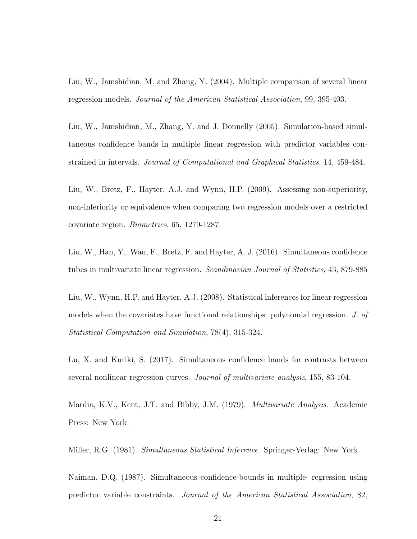Liu, W., Jamshidian, M. and Zhang, Y. (2004). Multiple comparison of several linear regression models. Journal of the American Statistical Association, 99, 395-403.

Liu, W., Jamshidian, M., Zhang, Y. and J. Donnelly (2005). Simulation-based simultaneous confidence bands in multiple linear regression with predictor variables constrained in intervals. Journal of Computational and Graphical Statistics, 14, 459-484.

Liu, W., Bretz, F., Hayter, A.J. and Wynn, H.P. (2009). Assessing non-superiority, non-inferiority or equivalence when comparing two regression models over a restricted covariate region. Biometrics, 65, 1279-1287.

Liu, W., Han, Y., Wan, F., Bretz, F. and Hayter, A. J. (2016). Simultaneous confidence tubes in multivariate linear regression. Scandinavian Journal of Statistics, 43, 879-885

Liu, W., Wynn, H.P. and Hayter, A.J. (2008). Statistical inferences for linear regression models when the covariates have functional relationships: polynomial regression. J. of Statistical Computation and Simulation, 78(4), 315-324.

Lu, X. and Kuriki, S. (2017). Simultaneous confidence bands for contrasts between several nonlinear regression curves. Journal of multivariate analysis, 155, 83-104.

Mardia, K.V., Kent, J.T. and Bibby, J.M. (1979). Multivariate Analysis. Academic Press: New York.

Miller, R.G. (1981). *Simultaneous Statistical Inference*. Springer-Verlag: New York.

Naiman, D.Q. (1987). Simultaneous confidence-bounds in multiple- regression using predictor variable constraints. Journal of the American Statistical Association, 82,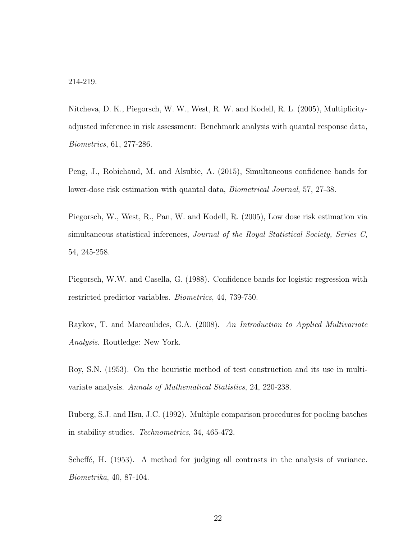Nitcheva, D. K., Piegorsch, W. W., West, R. W. and Kodell, R. L. (2005), Multiplicityadjusted inference in risk assessment: Benchmark analysis with quantal response data, Biometrics, 61, 277-286.

Peng, J., Robichaud, M. and Alsubie, A. (2015), Simultaneous confidence bands for lower-dose risk estimation with quantal data, Biometrical Journal, 57, 27-38.

Piegorsch, W., West, R., Pan, W. and Kodell, R. (2005), Low dose risk estimation via simultaneous statistical inferences, Journal of the Royal Statistical Society, Series C, 54, 245-258.

Piegorsch, W.W. and Casella, G. (1988). Confidence bands for logistic regression with restricted predictor variables. Biometrics, 44, 739-750.

Raykov, T. and Marcoulides, G.A. (2008). An Introduction to Applied Multivariate Analysis. Routledge: New York.

Roy, S.N. (1953). On the heuristic method of test construction and its use in multivariate analysis. Annals of Mathematical Statistics, 24, 220-238.

Ruberg, S.J. and Hsu, J.C. (1992). Multiple comparison procedures for pooling batches in stability studies. Technometrics, 34, 465-472.

Scheffé, H. (1953). A method for judging all contrasts in the analysis of variance. Biometrika, 40, 87-104.